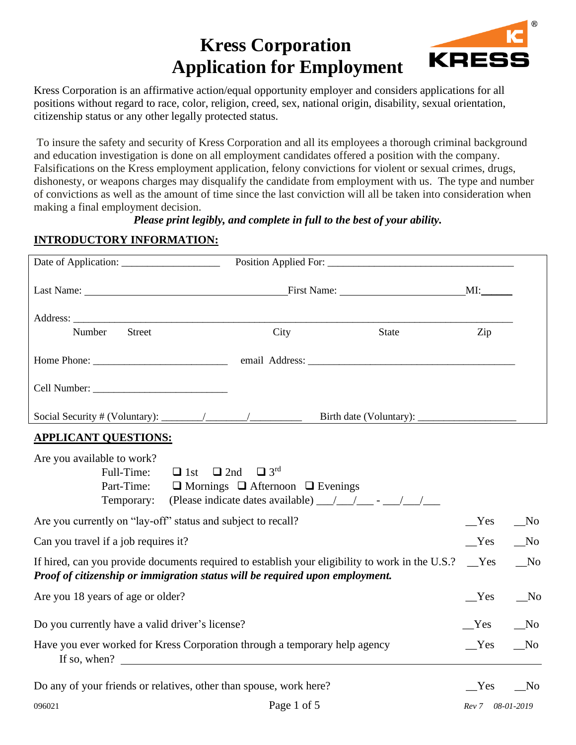# **Kress Corporation Application for Employment**



Kress Corporation is an affirmative action/equal opportunity employer and considers applications for all positions without regard to race, color, religion, creed, sex, national origin, disability, sexual orientation, citizenship status or any other legally protected status.

To insure the safety and security of Kress Corporation and all its employees a thorough criminal background and education investigation is done on all employment candidates offered a position with the company. Falsifications on the Kress employment application, felony convictions for violent or sexual crimes, drugs, dishonesty, or weapons charges may disqualify the candidate from employment with us. The type and number of convictions as well as the amount of time since the last conviction will all be taken into consideration when making a final employment decision.

#### *Please print legibly, and complete in full to the best of your ability.*

#### **INTRODUCTORY INFORMATION:**

|                                                                                                                                                                                 | Date of Application: Position Applied For: 2008 Contact Processes Applied Forms          |                                                                                                       |                  |            |
|---------------------------------------------------------------------------------------------------------------------------------------------------------------------------------|------------------------------------------------------------------------------------------|-------------------------------------------------------------------------------------------------------|------------------|------------|
|                                                                                                                                                                                 |                                                                                          |                                                                                                       |                  |            |
|                                                                                                                                                                                 |                                                                                          |                                                                                                       |                  |            |
| Street<br>Number                                                                                                                                                                | City                                                                                     | State                                                                                                 | Zip              |            |
|                                                                                                                                                                                 |                                                                                          |                                                                                                       |                  |            |
|                                                                                                                                                                                 |                                                                                          |                                                                                                       |                  |            |
|                                                                                                                                                                                 |                                                                                          |                                                                                                       |                  |            |
| <b>APPLICANT QUESTIONS:</b>                                                                                                                                                     |                                                                                          |                                                                                                       |                  |            |
| Are you available to work?<br>Full-Time:<br>$\Box$ 1st<br>Part-Time:<br>Temporary:                                                                                              | $\Box$ 2nd<br>$\Box$ 3 <sup>rd</sup><br>$\Box$ Mornings $\Box$ Afternoon $\Box$ Evenings | (Please indicate dates available) $\frac{1}{\sqrt{1-\frac{1}{2}}}$ - $\frac{1}{\sqrt{1-\frac{1}{2}}}$ |                  |            |
| Are you currently on "lay-off" status and subject to recall?                                                                                                                    |                                                                                          |                                                                                                       | Yes              | $\sqrt{N}$ |
| Can you travel if a job requires it?                                                                                                                                            |                                                                                          |                                                                                                       | Yes              | $\sqrt{N}$ |
| If hired, can you provide documents required to establish your eligibility to work in the U.S.?<br>Proof of citizenship or immigration status will be required upon employment. |                                                                                          |                                                                                                       | Yes              | $\sqrt{N}$ |
| Are you 18 years of age or older?                                                                                                                                               |                                                                                          |                                                                                                       | Yes              | $\sqrt{N}$ |
| Do you currently have a valid driver's license?                                                                                                                                 |                                                                                          |                                                                                                       | Yes              | $\sqrt{N}$ |
| Have you ever worked for Kress Corporation through a temporary help agency<br>If so, when?                                                                                      |                                                                                          |                                                                                                       | Yes              | $\sqrt{N}$ |
| Do any of your friends or relatives, other than spouse, work here?                                                                                                              |                                                                                          |                                                                                                       | Yes              | $\sqrt{N}$ |
| 096021                                                                                                                                                                          | Page 1 of 5                                                                              |                                                                                                       | Rev 7 08-01-2019 |            |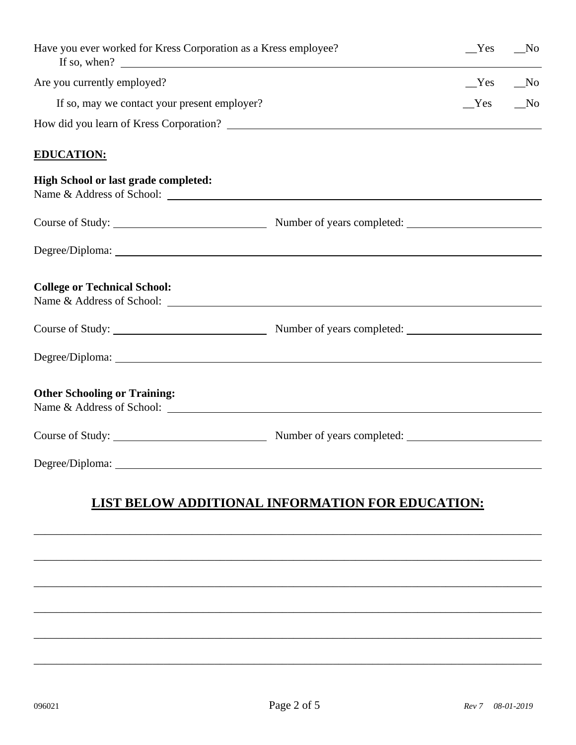| Have you ever worked for Kress Corporation as a Kress employee?<br>If so, when? $\qquad \qquad$ | Yes | N <sub>0</sub> |
|-------------------------------------------------------------------------------------------------|-----|----------------|
| Are you currently employed?                                                                     | Yes | $N$ o          |
| If so, may we contact your present employer?                                                    | Yes | N <sub>0</sub> |
| How did you learn of Kress Corporation?                                                         |     |                |
| <b>EDUCATION:</b>                                                                               |     |                |
| <b>High School or last grade completed:</b>                                                     |     |                |
|                                                                                                 |     |                |
|                                                                                                 |     |                |
| <b>College or Technical School:</b>                                                             |     |                |
|                                                                                                 |     |                |
|                                                                                                 |     |                |
| <b>Other Schooling or Training:</b><br>Name & Address of School: <u>Queenstanding</u>           |     |                |
|                                                                                                 |     |                |
|                                                                                                 |     |                |
|                                                                                                 |     |                |

## **LIST BELOW ADDITIONAL INFORMATION FOR EDUCATION:**

\_\_\_\_\_\_\_\_\_\_\_\_\_\_\_\_\_\_\_\_\_\_\_\_\_\_\_\_\_\_\_\_\_\_\_\_\_\_\_\_\_\_\_\_\_\_\_\_\_\_\_\_\_\_\_\_\_\_\_\_\_\_\_\_\_\_\_\_\_\_\_\_\_\_\_\_\_\_\_\_\_\_\_\_\_\_\_\_\_\_

\_\_\_\_\_\_\_\_\_\_\_\_\_\_\_\_\_\_\_\_\_\_\_\_\_\_\_\_\_\_\_\_\_\_\_\_\_\_\_\_\_\_\_\_\_\_\_\_\_\_\_\_\_\_\_\_\_\_\_\_\_\_\_\_\_\_\_\_\_\_\_\_\_\_\_\_\_\_\_\_\_\_\_\_\_\_\_\_\_\_

\_\_\_\_\_\_\_\_\_\_\_\_\_\_\_\_\_\_\_\_\_\_\_\_\_\_\_\_\_\_\_\_\_\_\_\_\_\_\_\_\_\_\_\_\_\_\_\_\_\_\_\_\_\_\_\_\_\_\_\_\_\_\_\_\_\_\_\_\_\_\_\_\_\_\_\_\_\_\_\_\_\_\_\_\_\_\_\_\_\_

\_\_\_\_\_\_\_\_\_\_\_\_\_\_\_\_\_\_\_\_\_\_\_\_\_\_\_\_\_\_\_\_\_\_\_\_\_\_\_\_\_\_\_\_\_\_\_\_\_\_\_\_\_\_\_\_\_\_\_\_\_\_\_\_\_\_\_\_\_\_\_\_\_\_\_\_\_\_\_\_\_\_\_\_\_\_\_\_\_\_

\_\_\_\_\_\_\_\_\_\_\_\_\_\_\_\_\_\_\_\_\_\_\_\_\_\_\_\_\_\_\_\_\_\_\_\_\_\_\_\_\_\_\_\_\_\_\_\_\_\_\_\_\_\_\_\_\_\_\_\_\_\_\_\_\_\_\_\_\_\_\_\_\_\_\_\_\_\_\_\_\_\_\_\_\_\_\_\_\_\_

\_\_\_\_\_\_\_\_\_\_\_\_\_\_\_\_\_\_\_\_\_\_\_\_\_\_\_\_\_\_\_\_\_\_\_\_\_\_\_\_\_\_\_\_\_\_\_\_\_\_\_\_\_\_\_\_\_\_\_\_\_\_\_\_\_\_\_\_\_\_\_\_\_\_\_\_\_\_\_\_\_\_\_\_\_\_\_\_\_\_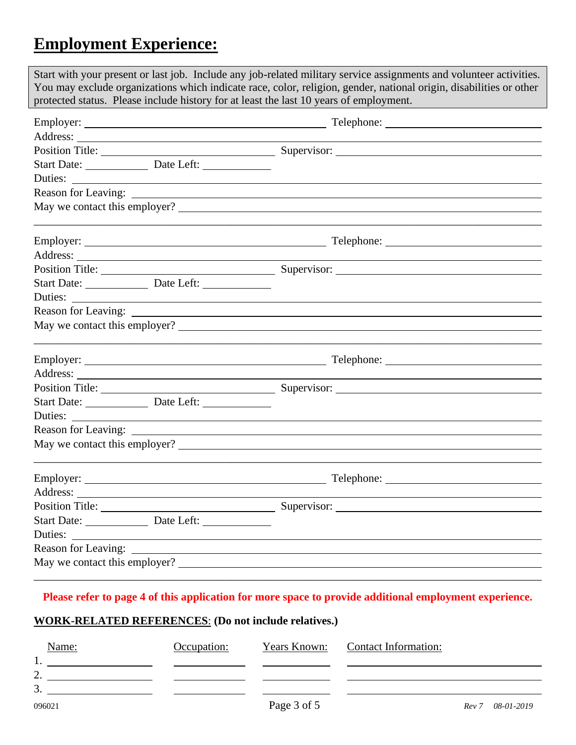# **Employment Experience:**

| Start with your present or last job. Include any job-related military service assignments and volunteer activities.<br>You may exclude organizations which indicate race, color, religion, gender, national origin, disabilities or other |                                                             |  |  |
|-------------------------------------------------------------------------------------------------------------------------------------------------------------------------------------------------------------------------------------------|-------------------------------------------------------------|--|--|
| protected status. Please include history for at least the last 10 years of employment.                                                                                                                                                    |                                                             |  |  |
|                                                                                                                                                                                                                                           |                                                             |  |  |
|                                                                                                                                                                                                                                           |                                                             |  |  |
|                                                                                                                                                                                                                                           |                                                             |  |  |
|                                                                                                                                                                                                                                           |                                                             |  |  |
|                                                                                                                                                                                                                                           |                                                             |  |  |
|                                                                                                                                                                                                                                           |                                                             |  |  |
|                                                                                                                                                                                                                                           | May we contact this employer?                               |  |  |
|                                                                                                                                                                                                                                           |                                                             |  |  |
|                                                                                                                                                                                                                                           |                                                             |  |  |
|                                                                                                                                                                                                                                           |                                                             |  |  |
| Start Date: Date Left:                                                                                                                                                                                                                    |                                                             |  |  |
| Duties:<br><u> 1989 - Johann Stoff, deutscher Stoffen und der Stoffen und der Stoffen und der Stoffen und der Stoffen und der</u>                                                                                                         |                                                             |  |  |
|                                                                                                                                                                                                                                           |                                                             |  |  |
| May we contact this employer?                                                                                                                                                                                                             |                                                             |  |  |
|                                                                                                                                                                                                                                           |                                                             |  |  |
|                                                                                                                                                                                                                                           |                                                             |  |  |
|                                                                                                                                                                                                                                           |                                                             |  |  |
| Start Date: <u>Date Left:</u>                                                                                                                                                                                                             |                                                             |  |  |
| Duties:                                                                                                                                                                                                                                   | <u> 1989 - Johann Stoff, amerikansk politiker (d. 1989)</u> |  |  |
|                                                                                                                                                                                                                                           |                                                             |  |  |
| May we contact this employer?                                                                                                                                                                                                             |                                                             |  |  |
|                                                                                                                                                                                                                                           |                                                             |  |  |
| Address:                                                                                                                                                                                                                                  |                                                             |  |  |
| Position Title:                                                                                                                                                                                                                           | Supervisor:                                                 |  |  |
|                                                                                                                                                                                                                                           |                                                             |  |  |
| Duties:                                                                                                                                                                                                                                   |                                                             |  |  |
|                                                                                                                                                                                                                                           |                                                             |  |  |
| May we contact this employer?                                                                                                                                                                                                             |                                                             |  |  |
|                                                                                                                                                                                                                                           |                                                             |  |  |

#### **Please refer to page 4 of this application for more space to provide additional employment experience.**

### **WORK-RELATED REFERENCES**: **(Do not include relatives.)**

| Name:               | Occupation: | Years Known: | Contact Information: |                     |
|---------------------|-------------|--------------|----------------------|---------------------|
| 1.                  |             |              |                      |                     |
| $\mathcal{L}$<br>∠. |             |              |                      |                     |
| 3.                  |             |              |                      |                     |
| 096021              |             | Page 3 of 5  |                      | 08-01-2019<br>Rev 7 |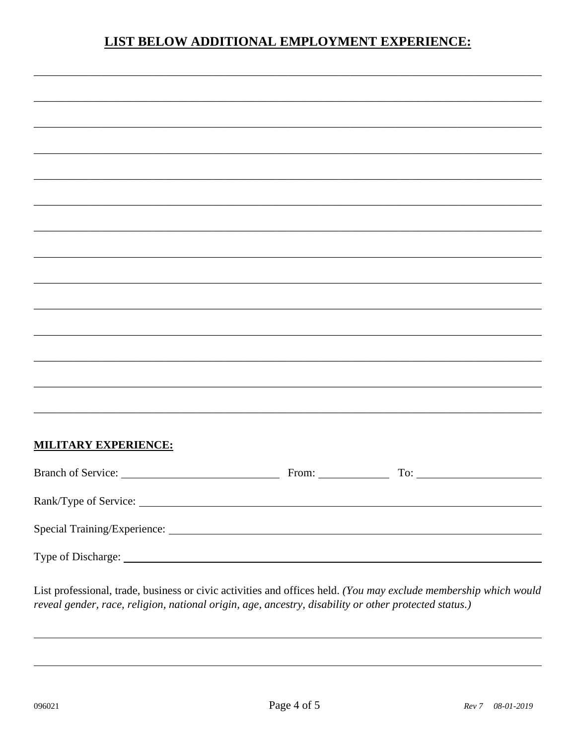### **LIST BELOW ADDITIONAL EMPLOYMENT EXPERIENCE:**

| <b>MILITARY EXPERIENCE:</b> |  |  |
|-----------------------------|--|--|
|                             |  |  |
|                             |  |  |
|                             |  |  |
|                             |  |  |

List professional, trade, business or civic activities and offices held. (You may exclude membership which would reveal gender, race, religion, national origin, age, ancestry, disability or other protected status.)